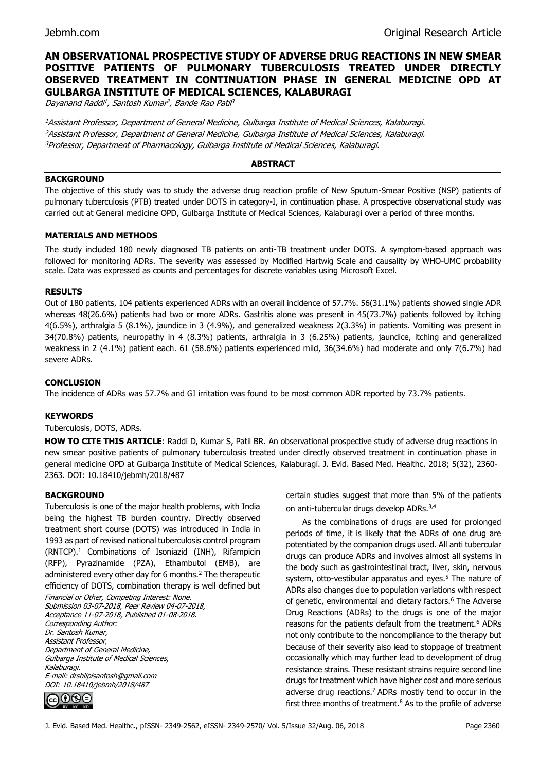# **AN OBSERVATIONAL PROSPECTIVE STUDY OF ADVERSE DRUG REACTIONS IN NEW SMEAR POSITIVE PATIENTS OF PULMONARY TUBERCULOSIS TREATED UNDER DIRECTLY OBSERVED TREATMENT IN CONTINUATION PHASE IN GENERAL MEDICINE OPD AT GULBARGA INSTITUTE OF MEDICAL SCIENCES, KALABURAGI**

Dayanand Raddi<sup>1</sup>, Santosh Kumar<sup>2</sup>, Bande Rao Patil<sup>s</sup>

<sup>1</sup>Assistant Professor, Department of General Medicine, Gulbarga Institute of Medical Sciences, Kalaburagi. <sup>2</sup>Assistant Professor, Department of General Medicine, Gulbarga Institute of Medical Sciences, Kalaburagi. <sup>3</sup>Professor, Department of Pharmacology, Gulbarga Institute of Medical Sciences, Kalaburagi.

### **ABSTRACT**

### **BACKGROUND**

The objective of this study was to study the adverse drug reaction profile of New Sputum-Smear Positive (NSP) patients of pulmonary tuberculosis (PTB) treated under DOTS in category-I, in continuation phase. A prospective observational study was carried out at General medicine OPD, Gulbarga Institute of Medical Sciences, Kalaburagi over a period of three months.

# **MATERIALS AND METHODS**

The study included 180 newly diagnosed TB patients on anti‑TB treatment under DOTS. A symptom-based approach was followed for monitoring ADRs. The severity was assessed by Modified Hartwig Scale and causality by WHO-UMC probability scale. Data was expressed as counts and percentages for discrete variables using Microsoft Excel.

### **RESULTS**

Out of 180 patients, 104 patients experienced ADRs with an overall incidence of 57.7%. 56(31.1%) patients showed single ADR whereas 48(26.6%) patients had two or more ADRs. Gastritis alone was present in 45(73.7%) patients followed by itching 4(6.5%), arthralgia 5 (8.1%), jaundice in 3 (4.9%), and generalized weakness 2(3.3%) in patients. Vomiting was present in 34(70.8%) patients, neuropathy in 4 (8.3%) patients, arthralgia in 3 (6.25%) patients, jaundice, itching and generalized weakness in 2 (4.1%) patient each. 61 (58.6%) patients experienced mild, 36(34.6%) had moderate and only 7(6.7%) had severe ADRs.

# **CONCLUSION**

The incidence of ADRs was 57.7% and GI irritation was found to be most common ADR reported by 73.7% patients.

### **KEYWORDS**

Tuberculosis, DOTS, ADRs.

**HOW TO CITE THIS ARTICLE**: Raddi D, Kumar S, Patil BR. An observational prospective study of adverse drug reactions in new smear positive patients of pulmonary tuberculosis treated under directly observed treatment in continuation phase in general medicine OPD at Gulbarga Institute of Medical Sciences, Kalaburagi. J. Evid. Based Med. Healthc. 2018; 5(32), 2360- 2363. DOI: 10.18410/jebmh/2018/487

### **BACKGROUND**

Tuberculosis is one of the major health problems, with India being the highest TB burden country. Directly observed treatment short course (DOTS) was introduced in India in 1993 as part of revised national tuberculosis control program (RNTCP).<sup>1</sup> Combinations of Isoniazid (INH), Rifampicin (RFP), Pyrazinamide (PZA), Ethambutol (EMB), are administered every other day for 6 months.<sup>2</sup> The therapeutic efficiency of DOTS, combination therapy is well defined but

Financial or Other, Competing Interest: None. Submission 03-07-2018, Peer Review 04-07-2018, Acceptance 11-07-2018, Published 01-08-2018. Corresponding Author: Dr. Santosh Kumar, Assistant Professor, Department of General Medicine, Gulbarga Institute of Medical Sciences, Kalaburagi. E-mail: drshilpisantosh@gmail.com DOI: 10.18410/jebmh/2018/487

certain studies suggest that more than 5% of the patients on anti-tubercular drugs develop ADRs.<sup>3,4</sup>

As the combinations of drugs are used for prolonged periods of time, it is likely that the ADRs of one drug are potentiated by the companion drugs used. All anti tubercular drugs can produce ADRs and involves almost all systems in the body such as gastrointestinal tract, liver, skin, nervous system, otto-vestibular apparatus and eyes. $5$  The nature of ADRs also changes due to population variations with respect of genetic, environmental and dietary factors.<sup>6</sup> The Adverse Drug Reactions (ADRs) to the drugs is one of the major reasons for the patients default from the treatment.<sup>6</sup> ADRs not only contribute to the noncompliance to the therapy but because of their severity also lead to stoppage of treatment occasionally which may further lead to development of drug resistance strains. These resistant strains require second line drugs for treatment which have higher cost and more serious adverse drug reactions.<sup>7</sup> ADRs mostly tend to occur in the first three months of treatment. $8$  As to the profile of adverse

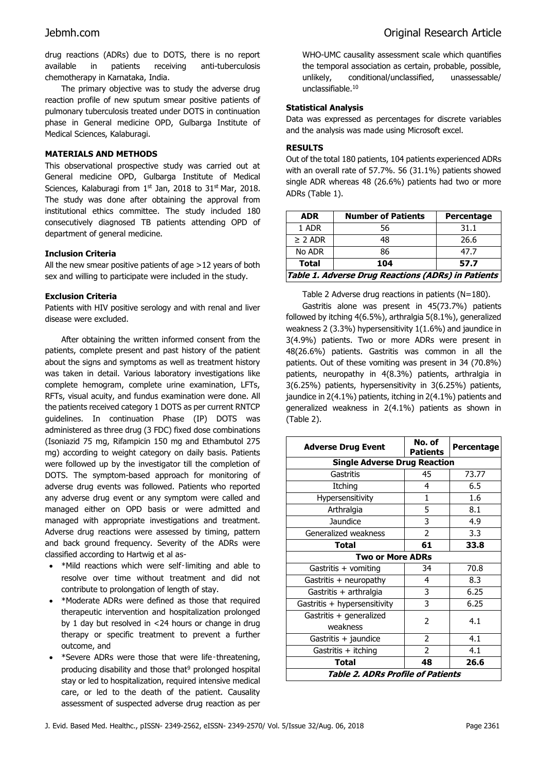drug reactions (ADRs) due to DOTS, there is no report available in patients receiving anti-tuberculosis chemotherapy in Karnataka, India.

The primary objective was to study the adverse drug reaction profile of new sputum smear positive patients of pulmonary tuberculosis treated under DOTS in continuation phase in General medicine OPD, Gulbarga Institute of Medical Sciences, Kalaburagi.

### **MATERIALS AND METHODS**

This observational prospective study was carried out at General medicine OPD, Gulbarga Institute of Medical Sciences, Kalaburagi from  $1<sup>st</sup>$  Jan, 2018 to  $31<sup>st</sup>$  Mar, 2018. The study was done after obtaining the approval from institutional ethics committee. The study included 180 consecutively diagnosed TB patients attending OPD of department of general medicine.

### **Inclusion Criteria**

All the new smear positive patients of age >12 years of both sex and willing to participate were included in the study.

### **Exclusion Criteria**

Patients with HIV positive serology and with renal and liver disease were excluded.

After obtaining the written informed consent from the patients, complete present and past history of the patient about the signs and symptoms as well as treatment history was taken in detail. Various laboratory investigations like complete hemogram, complete urine examination, LFTs, RFTs, visual acuity, and fundus examination were done. All the patients received category 1 DOTS as per current RNTCP guidelines. In continuation Phase (IP) DOTS was administered as three drug (3 FDC) fixed dose combinations (Isoniazid 75 mg, Rifampicin 150 mg and Ethambutol 275 mg) according to weight category on daily basis. Patients were followed up by the investigator till the completion of DOTS. The symptom-based approach for monitoring of adverse drug events was followed. Patients who reported any adverse drug event or any symptom were called and managed either on OPD basis or were admitted and managed with appropriate investigations and treatment. Adverse drug reactions were assessed by timing, pattern and back ground frequency. Severity of the ADRs were classified according to Hartwig et al as-

- \*Mild reactions which were self-limiting and able to resolve over time without treatment and did not contribute to prolongation of length of stay.
- \*Moderate ADRs were defined as those that required therapeutic intervention and hospitalization prolonged by 1 day but resolved in <24 hours or change in drug therapy or specific treatment to prevent a further outcome, and
- \*Severe ADRs were those that were life‑threatening, producing disability and those that<sup>9</sup> prolonged hospital stay or led to hospitalization, required intensive medical care, or led to the death of the patient. Causality assessment of suspected adverse drug reaction as per

WHO-UMC causality assessment scale which quantifies the temporal association as certain, probable, possible, unlikely, conditional/unclassified, unassessable/ unclassifiable.<sup>10</sup>

### **Statistical Analysis**

Data was expressed as percentages for discrete variables and the analysis was made using Microsoft excel.

#### **RESULTS**

Out of the total 180 patients, 104 patients experienced ADRs with an overall rate of 57.7%. 56 (31.1%) patients showed single ADR whereas 48 (26.6%) patients had two or more ADRs (Table 1).

| <b>ADR</b>                                         | <b>Number of Patients</b> | <b>Percentage</b> |  |  |
|----------------------------------------------------|---------------------------|-------------------|--|--|
| 1 ADR                                              | 56                        | 31.1              |  |  |
| $\geq$ 2 ADR                                       | 48                        | 26.6              |  |  |
| No ADR                                             | 86                        | 47.7              |  |  |
| <b>Total</b>                                       | 104                       | 57.7              |  |  |
| Table 1. Adverse Drug Reactions (ADRs) in Patients |                           |                   |  |  |

Table 2 Adverse drug reactions in patients (N=180).

Gastritis alone was present in 45(73.7%) patients followed by itching 4(6.5%), arthralgia 5(8.1%), generalized weakness 2 (3.3%) hypersensitivity 1(1.6%) and jaundice in 3(4.9%) patients. Two or more ADRs were present in 48(26.6%) patients. Gastritis was common in all the patients. Out of these vomiting was present in 34 (70.8%) patients, neuropathy in 4(8.3%) patients, arthralgia in 3(6.25%) patients, hypersensitivity in 3(6.25%) patients, jaundice in 2(4.1%) patients, itching in 2(4.1%) patients and generalized weakness in 2(4.1%) patients as shown in (Table 2).

| <b>Adverse Drug Event</b>                | No. of<br><b>Patients</b> | Percentage |  |  |
|------------------------------------------|---------------------------|------------|--|--|
| <b>Single Adverse Drug Reaction</b>      |                           |            |  |  |
| Gastritis                                | 45                        | 73.77      |  |  |
| Itching                                  | 4                         | 6.5        |  |  |
| <b>Hypersensitivity</b>                  | 1                         | 1.6        |  |  |
| Arthralgia                               | 5                         | 8.1        |  |  |
| Jaundice                                 | 3                         | 4.9        |  |  |
| Generalized weakness                     | $\overline{2}$            | 3.3        |  |  |
| Total                                    | 61                        | 33.8       |  |  |
| <b>Two or More ADRs</b>                  |                           |            |  |  |
| Gastritis + vomiting                     | 34                        | 70.8       |  |  |
| Gastritis + neuropathy                   | 4                         | 8.3        |  |  |
| Gastritis + arthralgia                   | 3                         | 6.25       |  |  |
| Gastritis $+$ hypersensitivity           | 3                         | 6.25       |  |  |
| Gastritis + generalized<br>$\mathcal{P}$ |                           | 4.1        |  |  |
| weakness                                 |                           |            |  |  |
| Gastritis + jaundice                     | $\overline{2}$            | 4.1        |  |  |
| Gastritis $+$ itching                    | $\overline{2}$            | 4.1        |  |  |
| Total                                    | 48                        | 26.6       |  |  |
| Table 2. ADRs Profile of Patients        |                           |            |  |  |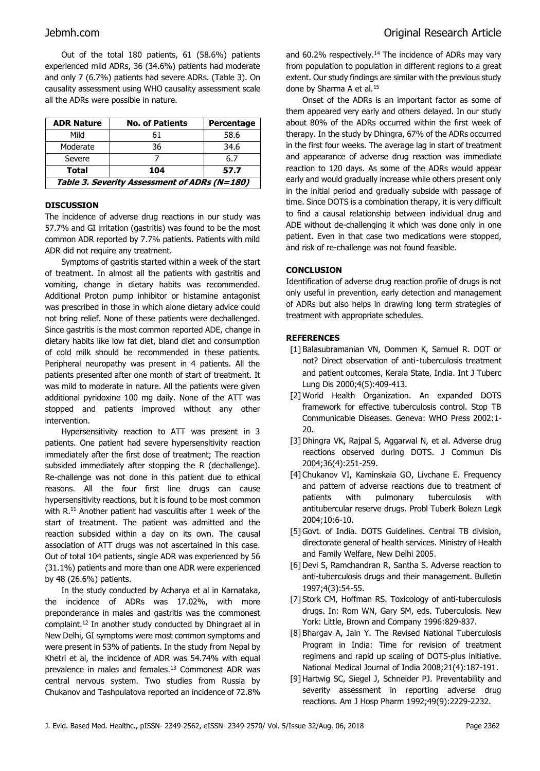Out of the total 180 patients, 61 (58.6%) patients experienced mild ADRs, 36 (34.6%) patients had moderate and only 7 (6.7%) patients had severe ADRs. (Table 3). On causality assessment using WHO causality assessment scale all the ADRs were possible in nature.

| <b>ADR Nature</b>                            | <b>No. of Patients</b> | Percentage |  |  |
|----------------------------------------------|------------------------|------------|--|--|
| Mild                                         | 61                     | 58.6       |  |  |
| Moderate                                     | 36                     | 34.6       |  |  |
| Severe                                       |                        | 6.7        |  |  |
| <b>Total</b>                                 | 104                    | 57.7       |  |  |
| Table 3. Severity Assessment of ADRs (N=180) |                        |            |  |  |

### **DISCUSSION**

The incidence of adverse drug reactions in our study was 57.7% and GI irritation (gastritis) was found to be the most common ADR reported by 7.7% patients. Patients with mild ADR did not require any treatment.

Symptoms of gastritis started within a week of the start of treatment. In almost all the patients with gastritis and vomiting, change in dietary habits was recommended. Additional Proton pump inhibitor or histamine antagonist was prescribed in those in which alone dietary advice could not bring relief. None of these patients were dechallenged. Since gastritis is the most common reported ADE, change in dietary habits like low fat diet, bland diet and consumption of cold milk should be recommended in these patients. Peripheral neuropathy was present in 4 patients. All the patients presented after one month of start of treatment. It was mild to moderate in nature. All the patients were given additional pyridoxine 100 mg daily. None of the ATT was stopped and patients improved without any other intervention.

Hypersensitivity reaction to ATT was present in 3 patients. One patient had severe hypersensitivity reaction immediately after the first dose of treatment; The reaction subsided immediately after stopping the R (dechallenge). Re-challenge was not done in this patient due to ethical reasons. All the four first line drugs can cause hypersensitivity reactions, but it is found to be most common with R.<sup>11</sup> Another patient had vasculitis after 1 week of the start of treatment. The patient was admitted and the reaction subsided within a day on its own. The causal association of ATT drugs was not ascertained in this case. Out of total 104 patients, single ADR was experienced by 56 (31.1%) patients and more than one ADR were experienced by 48 (26.6%) patients.

In the study conducted by Acharya et al in Karnataka, the incidence of ADRs was 17.02%, with more preponderance in males and gastritis was the commonest complaint.<sup>12</sup> In another study conducted by Dhingraet al in New Delhi, GI symptoms were most common symptoms and were present in 53% of patients. In the study from Nepal by Khetri et al, the incidence of ADR was 54.74% with equal prevalence in males and females.<sup>13</sup> Commonest ADR was central nervous system. Two studies from Russia by Chukanov and Tashpulatova reported an incidence of 72.8% and  $60.2\%$  respectively.<sup>14</sup> The incidence of ADRs may vary from population to population in different regions to a great extent. Our study findings are similar with the previous study done by Sharma A et al.<sup>15</sup>

Onset of the ADRs is an important factor as some of them appeared very early and others delayed. In our study about 80% of the ADRs occurred within the first week of therapy. In the study by Dhingra, 67% of the ADRs occurred in the first four weeks. The average lag in start of treatment and appearance of adverse drug reaction was immediate reaction to 120 days. As some of the ADRs would appear early and would gradually increase while others present only in the initial period and gradually subside with passage of time. Since DOTS is a combination therapy, it is very difficult to find a causal relationship between individual drug and ADE without de-challenging it which was done only in one patient. Even in that case two medications were stopped, and risk of re-challenge was not found feasible.

### **CONCLUSION**

Identification of adverse drug reaction profile of drugs is not only useful in prevention, early detection and management of ADRs but also helps in drawing long term strategies of treatment with appropriate schedules.

# **REFERENCES**

- [1] Balasubramanian VN, Oommen K, Samuel R. DOT or not? Direct observation of anti-tuberculosis treatment and patient outcomes, Kerala State, India. Int J Tuberc Lung Dis 2000;4(5):409-413.
- [2] World Health Organization. An expanded DOTS framework for effective tuberculosis control. Stop TB Communicable Diseases. Geneva: WHO Press 2002:1- 20.
- [3] Dhingra VK, Rajpal S, Aggarwal N, et al. Adverse drug reactions observed during DOTS. J Commun Dis 2004;36(4):251-259.
- [4] Chukanov VI, Kaminskaia GO, Livchane E. Frequency and pattern of adverse reactions due to treatment of patients with pulmonary tuberculosis with antitubercular reserve drugs. Probl Tuberk Bolezn Legk 2004;10:6-10.
- [5] Govt. of India. DOTS Guidelines. Central TB division, directorate general of health services. Ministry of Health and Family Welfare, New Delhi 2005.
- [6] Devi S, Ramchandran R, Santha S. Adverse reaction to anti-tuberculosis drugs and their management. Bulletin 1997;4(3):54-55.
- [7] Stork CM, Hoffman RS. Toxicology of anti-tuberculosis drugs. In: Rom WN, Gary SM, eds. Tuberculosis. New York: Little, Brown and Company 1996:829-837.
- [8] Bhargav A, Jain Y. The Revised National Tuberculosis Program in India: Time for revision of treatment regimens and rapid up scaling of DOTS-plus initiative. National Medical Journal of India 2008;21(4):187-191.
- [9] Hartwig SC, Siegel J, Schneider PJ. Preventability and severity assessment in reporting adverse drug reactions. Am J Hosp Pharm 1992;49(9):2229-2232.